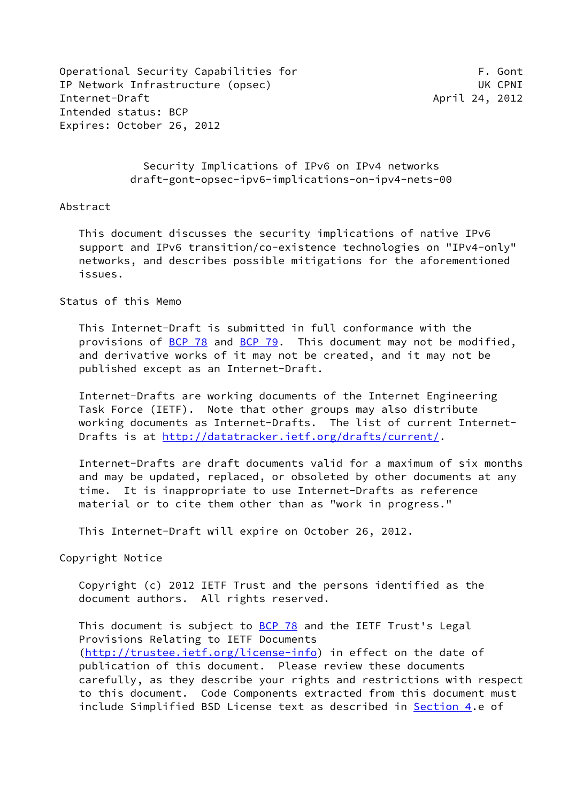Operational Security Capabilities for The Content of the Second F. Gont IP Network Infrastructure (opsec) UK CPNI Internet-Draft April 24, 2012 Intended status: BCP Expires: October 26, 2012

 Security Implications of IPv6 on IPv4 networks draft-gont-opsec-ipv6-implications-on-ipv4-nets-00

### Abstract

 This document discusses the security implications of native IPv6 support and IPv6 transition/co-existence technologies on "IPv4-only" networks, and describes possible mitigations for the aforementioned issues.

#### Status of this Memo

 This Internet-Draft is submitted in full conformance with the provisions of [BCP 78](https://datatracker.ietf.org/doc/pdf/bcp78) and [BCP 79](https://datatracker.ietf.org/doc/pdf/bcp79). This document may not be modified, and derivative works of it may not be created, and it may not be published except as an Internet-Draft.

 Internet-Drafts are working documents of the Internet Engineering Task Force (IETF). Note that other groups may also distribute working documents as Internet-Drafts. The list of current Internet Drafts is at<http://datatracker.ietf.org/drafts/current/>.

 Internet-Drafts are draft documents valid for a maximum of six months and may be updated, replaced, or obsoleted by other documents at any time. It is inappropriate to use Internet-Drafts as reference material or to cite them other than as "work in progress."

This Internet-Draft will expire on October 26, 2012.

Copyright Notice

 Copyright (c) 2012 IETF Trust and the persons identified as the document authors. All rights reserved.

This document is subject to **[BCP 78](https://datatracker.ietf.org/doc/pdf/bcp78)** and the IETF Trust's Legal Provisions Relating to IETF Documents [\(http://trustee.ietf.org/license-info](http://trustee.ietf.org/license-info)) in effect on the date of publication of this document. Please review these documents carefully, as they describe your rights and restrictions with respect to this document. Code Components extracted from this document must include Simplified BSD License text as described in [Section 4.](#page-9-0)e of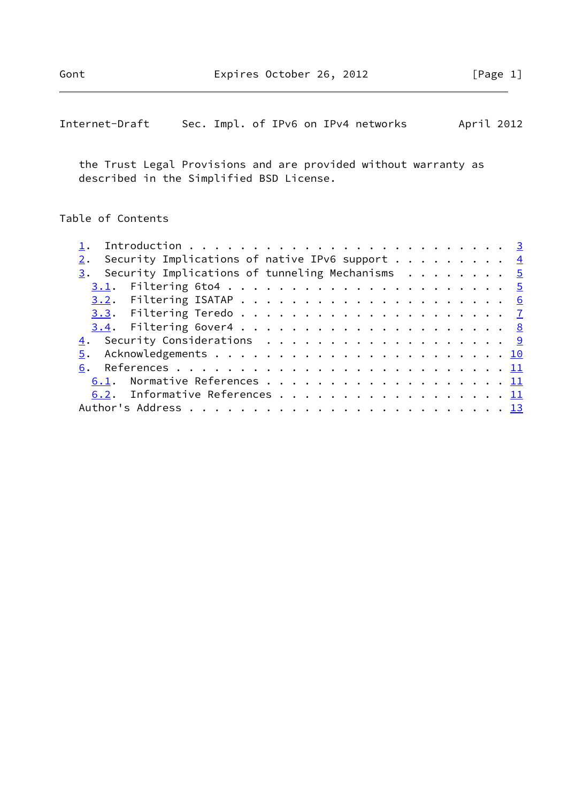| Internet-Draft |  |  |  |  |  |  | Sec. Impl. of IPv6 on IPv4 networks | April 2012 |  |
|----------------|--|--|--|--|--|--|-------------------------------------|------------|--|
|----------------|--|--|--|--|--|--|-------------------------------------|------------|--|

 the Trust Legal Provisions and are provided without warranty as described in the Simplified BSD License.

## Table of Contents

|  | Security Implications of native IPv6 support $\cdots$ 4          |  |  |  |  |  |  |  |  |  |  |  |
|--|------------------------------------------------------------------|--|--|--|--|--|--|--|--|--|--|--|
|  | 3. Security Implications of tunneling Mechanisms $\cdots \cdots$ |  |  |  |  |  |  |  |  |  |  |  |
|  |                                                                  |  |  |  |  |  |  |  |  |  |  |  |
|  |                                                                  |  |  |  |  |  |  |  |  |  |  |  |
|  |                                                                  |  |  |  |  |  |  |  |  |  |  |  |
|  |                                                                  |  |  |  |  |  |  |  |  |  |  |  |
|  | 4. Security Considerations 9                                     |  |  |  |  |  |  |  |  |  |  |  |
|  |                                                                  |  |  |  |  |  |  |  |  |  |  |  |
|  |                                                                  |  |  |  |  |  |  |  |  |  |  |  |
|  | 6.1. Normative References 11                                     |  |  |  |  |  |  |  |  |  |  |  |
|  | 6.2. Informative References 11                                   |  |  |  |  |  |  |  |  |  |  |  |
|  |                                                                  |  |  |  |  |  |  |  |  |  |  |  |
|  |                                                                  |  |  |  |  |  |  |  |  |  |  |  |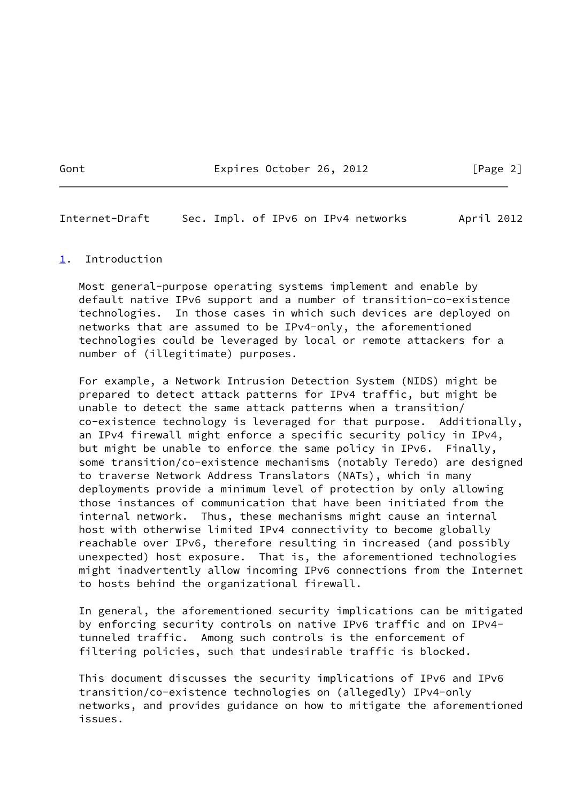Gont Expires October 26, 2012 [Page 2]

<span id="page-2-1"></span>Internet-Draft Sec. Impl. of IPv6 on IPv4 networks April 2012

#### <span id="page-2-0"></span>[1](#page-2-0). Introduction

 Most general-purpose operating systems implement and enable by default native IPv6 support and a number of transition-co-existence technologies. In those cases in which such devices are deployed on networks that are assumed to be IPv4-only, the aforementioned technologies could be leveraged by local or remote attackers for a number of (illegitimate) purposes.

 For example, a Network Intrusion Detection System (NIDS) might be prepared to detect attack patterns for IPv4 traffic, but might be unable to detect the same attack patterns when a transition/ co-existence technology is leveraged for that purpose. Additionally, an IPv4 firewall might enforce a specific security policy in IPv4, but might be unable to enforce the same policy in IPv6. Finally, some transition/co-existence mechanisms (notably Teredo) are designed to traverse Network Address Translators (NATs), which in many deployments provide a minimum level of protection by only allowing those instances of communication that have been initiated from the internal network. Thus, these mechanisms might cause an internal host with otherwise limited IPv4 connectivity to become globally reachable over IPv6, therefore resulting in increased (and possibly unexpected) host exposure. That is, the aforementioned technologies might inadvertently allow incoming IPv6 connections from the Internet to hosts behind the organizational firewall.

 In general, the aforementioned security implications can be mitigated by enforcing security controls on native IPv6 traffic and on IPv4 tunneled traffic. Among such controls is the enforcement of filtering policies, such that undesirable traffic is blocked.

 This document discusses the security implications of IPv6 and IPv6 transition/co-existence technologies on (allegedly) IPv4-only networks, and provides guidance on how to mitigate the aforementioned issues.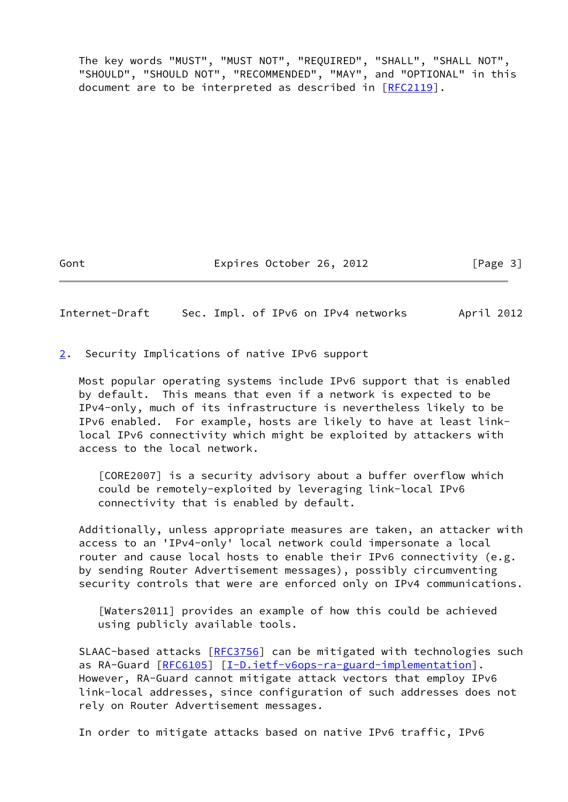The key words "MUST", "MUST NOT", "REQUIRED", "SHALL", "SHALL NOT", "SHOULD", "SHOULD NOT", "RECOMMENDED", "MAY", and "OPTIONAL" in this document are to be interpreted as described in [\[RFC2119](https://datatracker.ietf.org/doc/pdf/rfc2119)].

Gont Expires October 26, 2012 [Page 3]

<span id="page-3-1"></span>Internet-Draft Sec. Impl. of IPv6 on IPv4 networks April 2012

<span id="page-3-0"></span>[2](#page-3-0). Security Implications of native IPv6 support

 Most popular operating systems include IPv6 support that is enabled by default. This means that even if a network is expected to be IPv4-only, much of its infrastructure is nevertheless likely to be IPv6 enabled. For example, hosts are likely to have at least link local IPv6 connectivity which might be exploited by attackers with access to the local network.

 [CORE2007] is a security advisory about a buffer overflow which could be remotely-exploited by leveraging link-local IPv6 connectivity that is enabled by default.

 Additionally, unless appropriate measures are taken, an attacker with access to an 'IPv4-only' local network could impersonate a local router and cause local hosts to enable their IPv6 connectivity (e.g. by sending Router Advertisement messages), possibly circumventing security controls that were are enforced only on IPv4 communications.

 [Waters2011] provides an example of how this could be achieved using publicly available tools.

 SLAAC-based attacks [\[RFC3756](https://datatracker.ietf.org/doc/pdf/rfc3756)] can be mitigated with technologies such as RA-Guard [\[RFC6105](https://datatracker.ietf.org/doc/pdf/rfc6105)] [[I-D.ietf-v6ops-ra-guard-implementation](#page-12-0)]. However, RA-Guard cannot mitigate attack vectors that employ IPv6 link-local addresses, since configuration of such addresses does not rely on Router Advertisement messages.

In order to mitigate attacks based on native IPv6 traffic, IPv6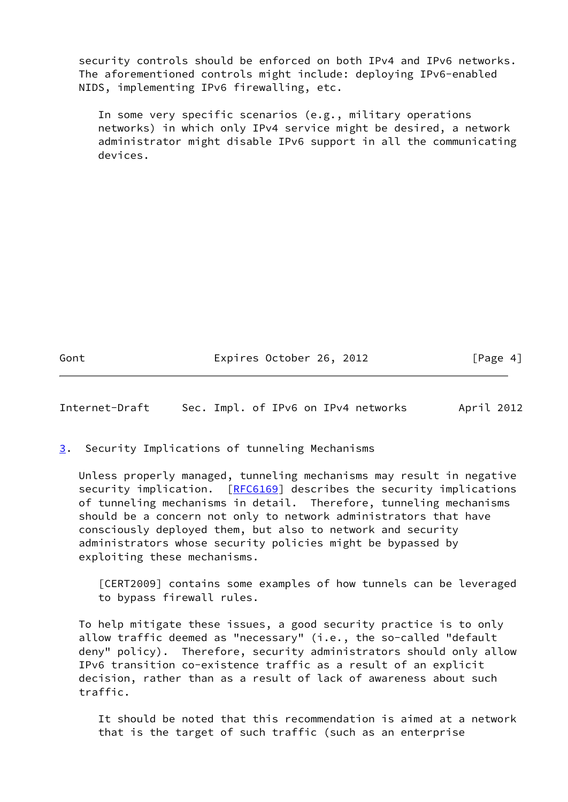security controls should be enforced on both IPv4 and IPv6 networks. The aforementioned controls might include: deploying IPv6-enabled NIDS, implementing IPv6 firewalling, etc.

 In some very specific scenarios (e.g., military operations networks) in which only IPv4 service might be desired, a network administrator might disable IPv6 support in all the communicating devices.

Gont Expires October 26, 2012 [Page 4]

<span id="page-4-1"></span>Internet-Draft Sec. Impl. of IPv6 on IPv4 networks April 2012

<span id="page-4-0"></span>[3](#page-4-0). Security Implications of tunneling Mechanisms

 Unless properly managed, tunneling mechanisms may result in negative security implication. [\[RFC6169](https://datatracker.ietf.org/doc/pdf/rfc6169)] describes the security implications of tunneling mechanisms in detail. Therefore, tunneling mechanisms should be a concern not only to network administrators that have consciously deployed them, but also to network and security administrators whose security policies might be bypassed by exploiting these mechanisms.

 [CERT2009] contains some examples of how tunnels can be leveraged to bypass firewall rules.

 To help mitigate these issues, a good security practice is to only allow traffic deemed as "necessary" (i.e., the so-called "default deny" policy). Therefore, security administrators should only allow IPv6 transition co-existence traffic as a result of an explicit decision, rather than as a result of lack of awareness about such traffic.

 It should be noted that this recommendation is aimed at a network that is the target of such traffic (such as an enterprise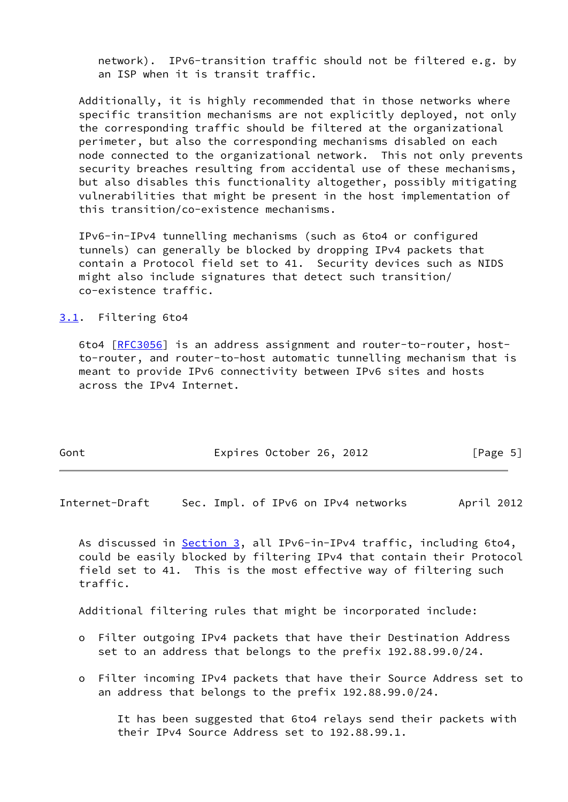network). IPv6-transition traffic should not be filtered e.g. by an ISP when it is transit traffic.

 Additionally, it is highly recommended that in those networks where specific transition mechanisms are not explicitly deployed, not only the corresponding traffic should be filtered at the organizational perimeter, but also the corresponding mechanisms disabled on each node connected to the organizational network. This not only prevents security breaches resulting from accidental use of these mechanisms, but also disables this functionality altogether, possibly mitigating vulnerabilities that might be present in the host implementation of this transition/co-existence mechanisms.

 IPv6-in-IPv4 tunnelling mechanisms (such as 6to4 or configured tunnels) can generally be blocked by dropping IPv4 packets that contain a Protocol field set to 41. Security devices such as NIDS might also include signatures that detect such transition/ co-existence traffic.

<span id="page-5-0"></span>[3.1](#page-5-0). Filtering 6to4

 6to4 [\[RFC3056](https://datatracker.ietf.org/doc/pdf/rfc3056)] is an address assignment and router-to-router, host to-router, and router-to-host automatic tunnelling mechanism that is meant to provide IPv6 connectivity between IPv6 sites and hosts across the IPv4 Internet.

| Gont | Expires October 26, 2012 |  | [Page 5] |  |
|------|--------------------------|--|----------|--|
|      |                          |  |          |  |

<span id="page-5-1"></span>Internet-Draft Sec. Impl. of IPv6 on IPv4 networks April 2012

As discussed in [Section 3](#page-4-0), all IPv6-in-IPv4 traffic, including 6to4, could be easily blocked by filtering IPv4 that contain their Protocol field set to 41. This is the most effective way of filtering such traffic.

Additional filtering rules that might be incorporated include:

- o Filter outgoing IPv4 packets that have their Destination Address set to an address that belongs to the prefix 192.88.99.0/24.
- o Filter incoming IPv4 packets that have their Source Address set to an address that belongs to the prefix 192.88.99.0/24.

 It has been suggested that 6to4 relays send their packets with their IPv4 Source Address set to 192.88.99.1.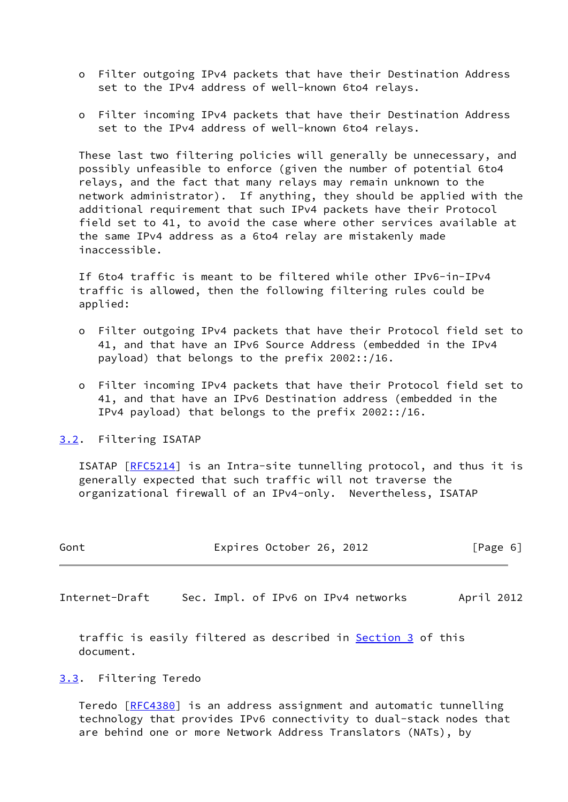- o Filter outgoing IPv4 packets that have their Destination Address set to the IPv4 address of well-known 6to4 relays.
- o Filter incoming IPv4 packets that have their Destination Address set to the IPv4 address of well-known 6to4 relays.

 These last two filtering policies will generally be unnecessary, and possibly unfeasible to enforce (given the number of potential 6to4 relays, and the fact that many relays may remain unknown to the network administrator). If anything, they should be applied with the additional requirement that such IPv4 packets have their Protocol field set to 41, to avoid the case where other services available at the same IPv4 address as a 6to4 relay are mistakenly made inaccessible.

 If 6to4 traffic is meant to be filtered while other IPv6-in-IPv4 traffic is allowed, then the following filtering rules could be applied:

- o Filter outgoing IPv4 packets that have their Protocol field set to 41, and that have an IPv6 Source Address (embedded in the IPv4 payload) that belongs to the prefix 2002::/16.
- o Filter incoming IPv4 packets that have their Protocol field set to 41, and that have an IPv6 Destination address (embedded in the IPv4 payload) that belongs to the prefix 2002::/16.

<span id="page-6-0"></span>[3.2](#page-6-0). Filtering ISATAP

 ISATAP [\[RFC5214](https://datatracker.ietf.org/doc/pdf/rfc5214)] is an Intra-site tunnelling protocol, and thus it is generally expected that such traffic will not traverse the organizational firewall of an IPv4-only. Nevertheless, ISATAP

| Gont | Expires October 26, 2012 | [Page 6] |
|------|--------------------------|----------|
|      |                          |          |

<span id="page-6-2"></span>Internet-Draft Sec. Impl. of IPv6 on IPv4 networks April 2012

traffic is easily filtered as described in **Section 3** of this document.

### <span id="page-6-1"></span>[3.3](#page-6-1). Filtering Teredo

 Teredo [\[RFC4380](https://datatracker.ietf.org/doc/pdf/rfc4380)] is an address assignment and automatic tunnelling technology that provides IPv6 connectivity to dual-stack nodes that are behind one or more Network Address Translators (NATs), by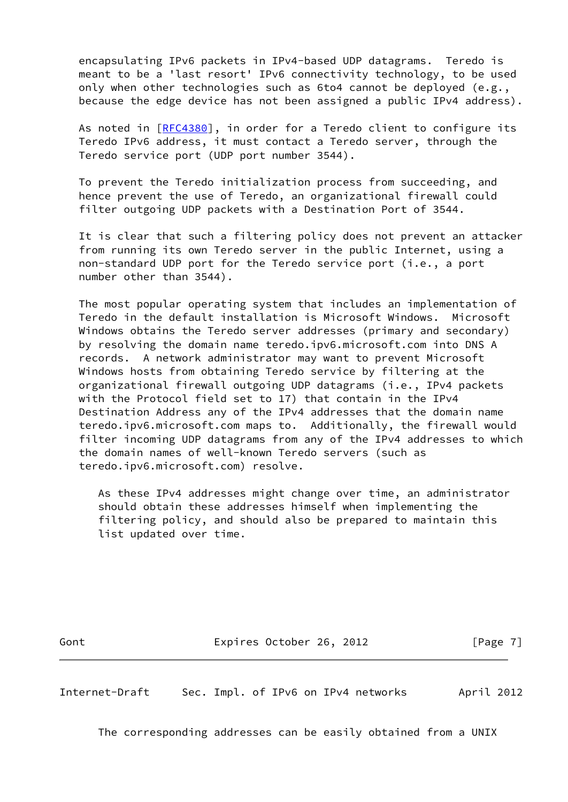encapsulating IPv6 packets in IPv4-based UDP datagrams. Teredo is meant to be a 'last resort' IPv6 connectivity technology, to be used only when other technologies such as 6to4 cannot be deployed (e.g., because the edge device has not been assigned a public IPv4 address).

 As noted in [\[RFC4380](https://datatracker.ietf.org/doc/pdf/rfc4380)], in order for a Teredo client to configure its Teredo IPv6 address, it must contact a Teredo server, through the Teredo service port (UDP port number 3544).

 To prevent the Teredo initialization process from succeeding, and hence prevent the use of Teredo, an organizational firewall could filter outgoing UDP packets with a Destination Port of 3544.

 It is clear that such a filtering policy does not prevent an attacker from running its own Teredo server in the public Internet, using a non-standard UDP port for the Teredo service port (i.e., a port number other than 3544).

 The most popular operating system that includes an implementation of Teredo in the default installation is Microsoft Windows. Microsoft Windows obtains the Teredo server addresses (primary and secondary) by resolving the domain name teredo.ipv6.microsoft.com into DNS A records. A network administrator may want to prevent Microsoft Windows hosts from obtaining Teredo service by filtering at the organizational firewall outgoing UDP datagrams (i.e., IPv4 packets with the Protocol field set to 17) that contain in the IPv4 Destination Address any of the IPv4 addresses that the domain name teredo.ipv6.microsoft.com maps to. Additionally, the firewall would filter incoming UDP datagrams from any of the IPv4 addresses to which the domain names of well-known Teredo servers (such as teredo.ipv6.microsoft.com) resolve.

 As these IPv4 addresses might change over time, an administrator should obtain these addresses himself when implementing the filtering policy, and should also be prepared to maintain this list updated over time.

Gont Expires October 26, 2012 [Page 7]

<span id="page-7-0"></span>Internet-Draft Sec. Impl. of IPv6 on IPv4 networks April 2012

The corresponding addresses can be easily obtained from a UNIX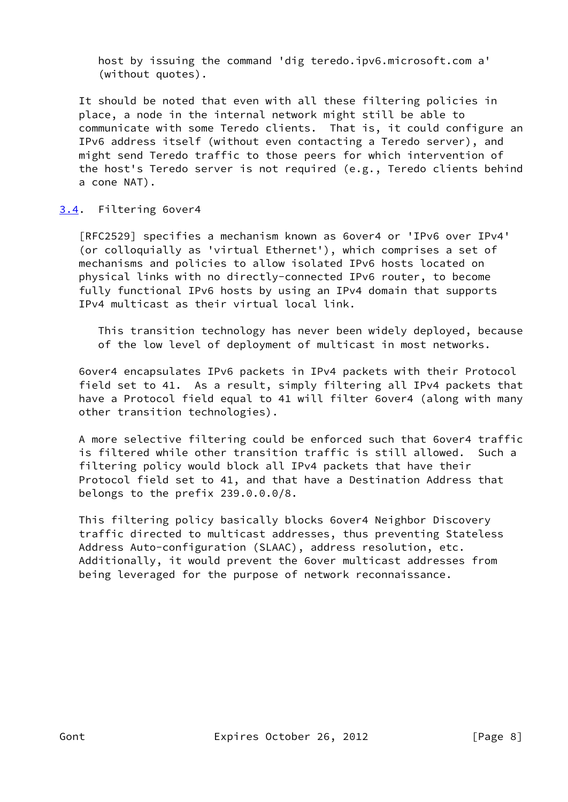host by issuing the command 'dig teredo.ipv6.microsoft.com a' (without quotes).

 It should be noted that even with all these filtering policies in place, a node in the internal network might still be able to communicate with some Teredo clients. That is, it could configure an IPv6 address itself (without even contacting a Teredo server), and might send Teredo traffic to those peers for which intervention of the host's Teredo server is not required (e.g., Teredo clients behind a cone NAT).

## <span id="page-8-0"></span>[3.4](#page-8-0). Filtering 6over4

 [RFC2529] specifies a mechanism known as 6over4 or 'IPv6 over IPv4' (or colloquially as 'virtual Ethernet'), which comprises a set of mechanisms and policies to allow isolated IPv6 hosts located on physical links with no directly-connected IPv6 router, to become fully functional IPv6 hosts by using an IPv4 domain that supports IPv4 multicast as their virtual local link.

 This transition technology has never been widely deployed, because of the low level of deployment of multicast in most networks.

 6over4 encapsulates IPv6 packets in IPv4 packets with their Protocol field set to 41. As a result, simply filtering all IPv4 packets that have a Protocol field equal to 41 will filter 6over4 (along with many other transition technologies).

 A more selective filtering could be enforced such that 6over4 traffic is filtered while other transition traffic is still allowed. Such a filtering policy would block all IPv4 packets that have their Protocol field set to 41, and that have a Destination Address that belongs to the prefix 239.0.0.0/8.

 This filtering policy basically blocks 6over4 Neighbor Discovery traffic directed to multicast addresses, thus preventing Stateless Address Auto-configuration (SLAAC), address resolution, etc. Additionally, it would prevent the 6over multicast addresses from being leveraged for the purpose of network reconnaissance.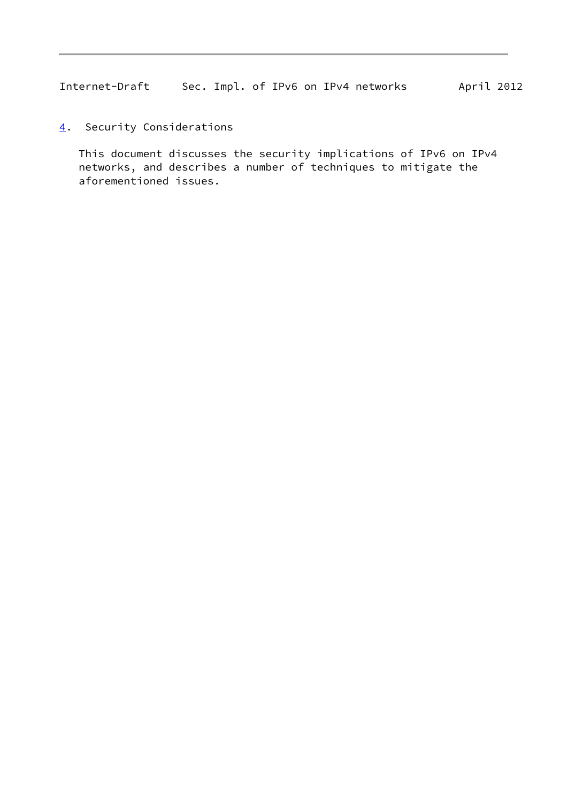<span id="page-9-1"></span>Internet-Draft Sec. Impl. of IPv6 on IPv4 networks April 2012

<span id="page-9-0"></span>[4](#page-9-0). Security Considerations

 This document discusses the security implications of IPv6 on IPv4 networks, and describes a number of techniques to mitigate the aforementioned issues.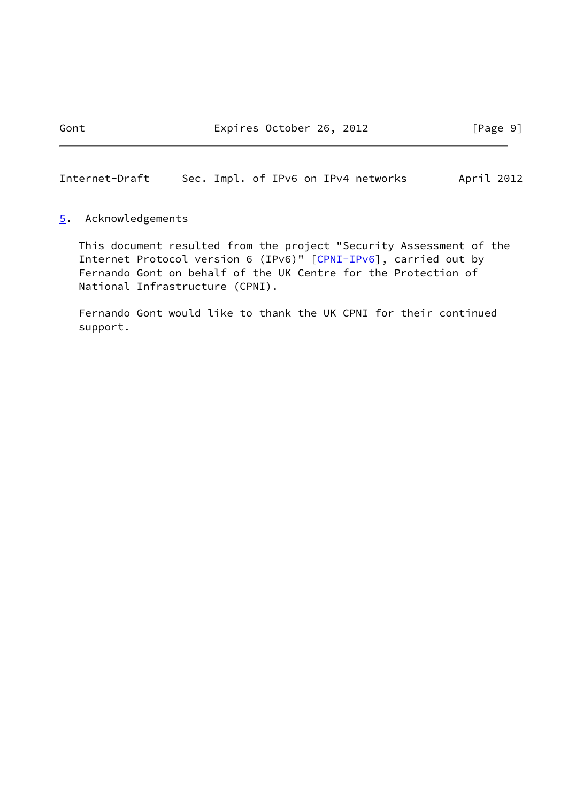<span id="page-10-1"></span>Internet-Draft Sec. Impl. of IPv6 on IPv4 networks April 2012

#### <span id="page-10-0"></span>[5](#page-10-0). Acknowledgements

 This document resulted from the project "Security Assessment of the Internet Protocol version 6 (IPv6)" [\[CPNI-IPv6](#page-12-1)], carried out by Fernando Gont on behalf of the UK Centre for the Protection of National Infrastructure (CPNI).

 Fernando Gont would like to thank the UK CPNI for their continued support.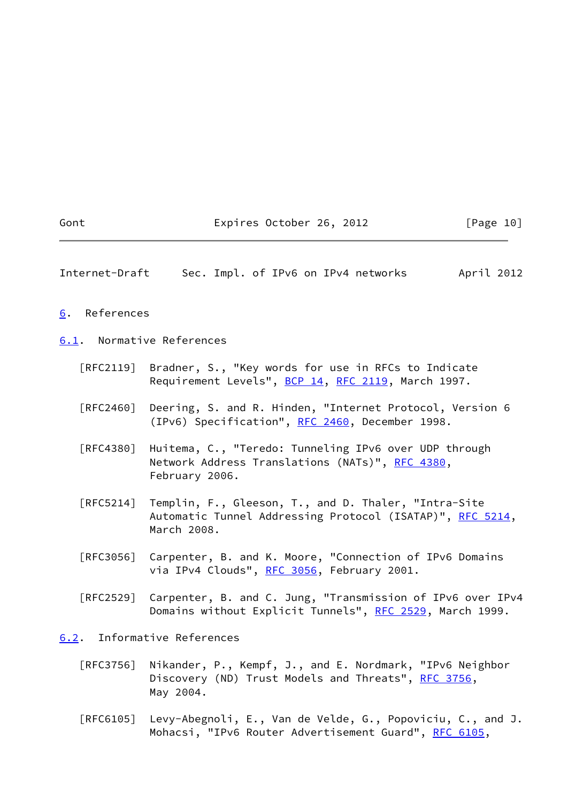<span id="page-11-2"></span><span id="page-11-1"></span><span id="page-11-0"></span>Gont Expires October 26, 2012 [Page 10] Internet-Draft Sec. Impl. of IPv6 on IPv4 networks April 2012 [6](#page-11-0). References [6.1](#page-11-2). Normative References [RFC2119] Bradner, S., "Key words for use in RFCs to Indicate Requirement Levels", [BCP 14](https://datatracker.ietf.org/doc/pdf/bcp14), [RFC 2119](https://datatracker.ietf.org/doc/pdf/rfc2119), March 1997. [RFC2460] Deering, S. and R. Hinden, "Internet Protocol, Version 6 (IPv6) Specification", [RFC 2460](https://datatracker.ietf.org/doc/pdf/rfc2460), December 1998. [RFC4380] Huitema, C., "Teredo: Tunneling IPv6 over UDP through Network Address Translations (NATs)", [RFC 4380](https://datatracker.ietf.org/doc/pdf/rfc4380), February 2006. [RFC5214] Templin, F., Gleeson, T., and D. Thaler, "Intra-Site Automatic Tunnel Addressing Protocol (ISATAP)", [RFC 5214,](https://datatracker.ietf.org/doc/pdf/rfc5214) March 2008. [RFC3056] Carpenter, B. and K. Moore, "Connection of IPv6 Domains via IPv4 Clouds", [RFC 3056](https://datatracker.ietf.org/doc/pdf/rfc3056), February 2001. [RFC2529] Carpenter, B. and C. Jung, "Transmission of IPv6 over IPv4 Domains without Explicit Tunnels", [RFC 2529](https://datatracker.ietf.org/doc/pdf/rfc2529), March 1999. [6.2](#page-11-3). Informative References [RFC3756] Nikander, P., Kempf, J., and E. Nordmark, "IPv6 Neighbor Discovery (ND) Trust Models and Threats", [RFC 3756](https://datatracker.ietf.org/doc/pdf/rfc3756), May 2004.

<span id="page-11-3"></span> [RFC6105] Levy-Abegnoli, E., Van de Velde, G., Popoviciu, C., and J. Mohacsi, "IPv6 Router Advertisement Guard", [RFC 6105,](https://datatracker.ietf.org/doc/pdf/rfc6105)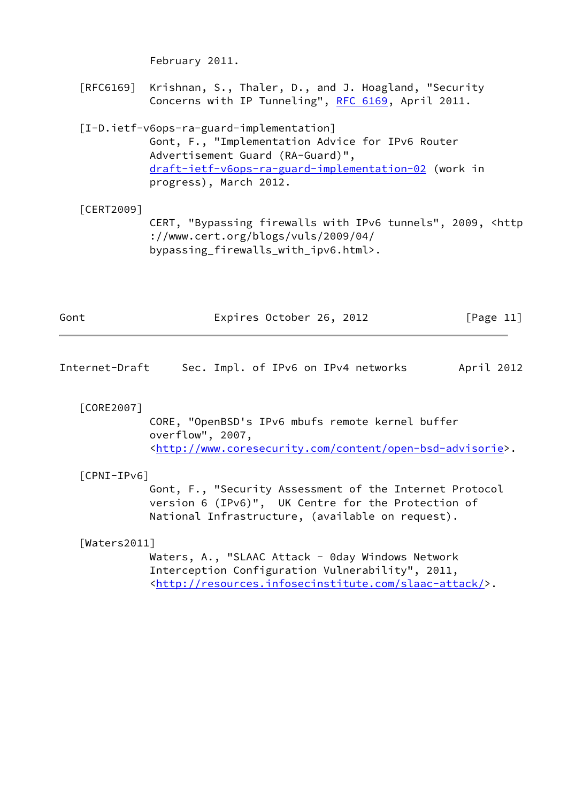February 2011.

 [RFC6169] Krishnan, S., Thaler, D., and J. Hoagland, "Security Concerns with IP Tunneling", [RFC 6169](https://datatracker.ietf.org/doc/pdf/rfc6169), April 2011.

# <span id="page-12-0"></span> [I-D.ietf-v6ops-ra-guard-implementation] Gont, F., "Implementation Advice for IPv6 Router Advertisement Guard (RA-Guard)", [draft-ietf-v6ops-ra-guard-implementation-02](https://datatracker.ietf.org/doc/pdf/draft-ietf-v6ops-ra-guard-implementation-02) (work in progress), March 2012.

# [CERT2009] CERT, "Bypassing firewalls with IPv6 tunnels", 2009, <http ://www.cert.org/blogs/vuls/2009/04/ bypassing\_firewalls\_with\_ipv6.html>.

| Gont | Expires October 26, 2012 |  | [Page $11$ ] |  |
|------|--------------------------|--|--------------|--|
|      |                          |  |              |  |

Internet-Draft Sec. Impl. of IPv6 on IPv4 networks April 2012

[CORE2007]

 CORE, "OpenBSD's IPv6 mbufs remote kernel buffer overflow", 2007, <<http://www.coresecurity.com/content/open-bsd-advisorie>>.

### <span id="page-12-1"></span>[CPNI-IPv6]

 Gont, F., "Security Assessment of the Internet Protocol version 6 (IPv6)", UK Centre for the Protection of National Infrastructure, (available on request).

[Waters2011]

Waters, A., "SLAAC Attack - 0day Windows Network Interception Configuration Vulnerability", 2011, <[http://resources.infosecinstitute.com/slaac-attack/>](http://resources.infosecinstitute.com/slaac-attack/).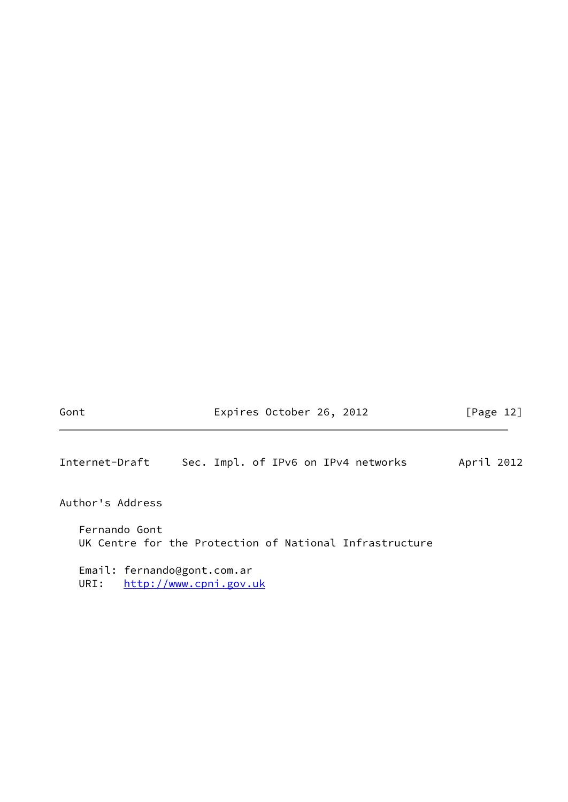Gont Expires October 26, 2012 [Page 12]

<span id="page-13-0"></span>Internet-Draft Sec. Impl. of IPv6 on IPv4 networks April 2012

Author's Address

 Fernando Gont UK Centre for the Protection of National Infrastructure

 Email: fernando@gont.com.ar URI: <http://www.cpni.gov.uk>